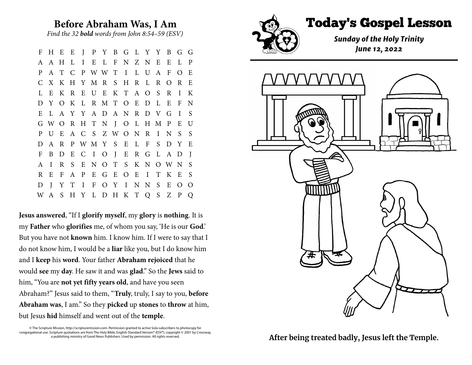## **Before Abraham Was, I Am**

*Find the 32 bold words from John 8:54–59 (ESV)*

F H E E J P Y B G L Y Y B G G A A H L I E L F N Z N E E L P P A T C P W W T I L U A F O E C X K H Y M R S H R L R O R E L E K R E U E K T A O S R I K D Y O K L R M T O E D L E F N E L A Y Y A D A N R D V G I S G W O R H T N J O L H M P E U P U E A C S Z W O N R I N S S D A R P W M Y S E L F S D Y E F B D E C I O J E R G L A D J A I R S E N O T S K N O W N S R E F A P E G E O E I T K E S D J Y T I F O Y I N N S E O O W A S H Y L D H K T Q S Z P Q

**Jesusanswered**, "If I **glorify myself**, my **glory** is **nothing**. It is my **Father** who **glorifies** me, of whom you say, 'He is our **God**.' But you have not **known** him. I know him. If I were to say that I do not know him, I would be a **liar** like you, but I do know him and I **keep** his **word**. Your father **Abraham rejoiced** that he would **see** my **day**. He saw it and was **glad**." So the **Jews** said to him, "You are **not yet fifty years old**, and have you seen Abraham?" Jesus said to them, "**Truly**, truly, I say to you, **before Abraham was**, I am." So they **picked** up **stones** to **throw** at him, but Jesus **hid** himself and went out of the **temple**.

© The Scripture Mission, http://scripturemission.com. Permission granted to active Sola subscribers to photocopy for congregational use. Scripture quotations are from The Holy Bible, English Standard Version® (ESV®), copyright © 2001 by Crossway, a publishing ministry of Good News Publishers. Used by permission. All rights reserved.





After being treated badly, Jesus left the Temple.